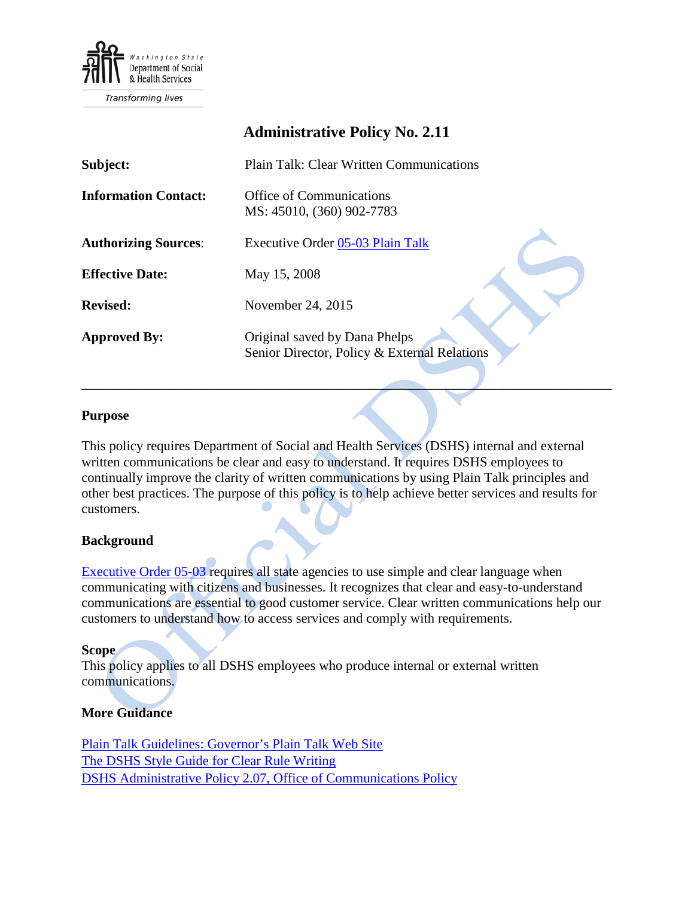

# **Administrative Policy No. 2.11**

| Subject:                    | <b>Plain Talk: Clear Written Communications</b>                               |
|-----------------------------|-------------------------------------------------------------------------------|
| <b>Information Contact:</b> | <b>Office of Communications</b><br>MS: 45010, (360) 902-7783                  |
| <b>Authorizing Sources:</b> | Executive Order 05-03 Plain Talk                                              |
| <b>Effective Date:</b>      | May 15, 2008                                                                  |
| <b>Revised:</b>             | November 24, 2015                                                             |
| <b>Approved By:</b>         | Original saved by Dana Phelps<br>Senior Director, Policy & External Relations |

## **Purpose**

This policy requires Department of Social and Health Services (DSHS) internal and external written communications be clear and easy to understand. It requires DSHS employees to continually improve the clarity of written communications by using Plain Talk principles and other best practices. The purpose of this policy is to help achieve better services and results for customers.

\_\_\_\_\_\_\_\_\_\_\_\_\_\_\_\_\_\_\_\_\_\_\_\_\_\_\_\_\_\_\_\_\_\_\_\_\_\_\_\_\_\_\_\_\_\_\_\_\_\_\_\_\_\_\_\_\_\_\_\_\_\_\_\_\_\_\_\_\_\_\_\_\_\_\_\_\_\_

## **Background**

[Executive Order 05-03](http://www.governor.wa.gov/sites/default/files/exe_order/eo_05-03.pdf) requires all state agencies to use simple and clear language when communicating with citizens and businesses. It recognizes that clear and easy-to-understand communications are essential to good customer service. Clear written communications help our customers to understand how to access services and comply with requirements.

#### **Scope**

This policy applies to all DSHS employees who produce internal or external written communications.

## **More Guidance**

[Plain Talk Guidelines: Governor's Plain Talk Web Site](http://www.governor.wa.gov/issues/issues/efficient-government/plain-talk/resources) [The DSHS Style Guide for Clear Rule Writing](http://one.dshs.wa.lcl/per/RPAU/Training/StyleGuideForRuleWriting.pdf) [DSHS Administrative Policy 2.07, Office of Communications Policy](http://one.dshs.wa.lcl/Policies/Administrative/DSHS-AP-02-07.pdf)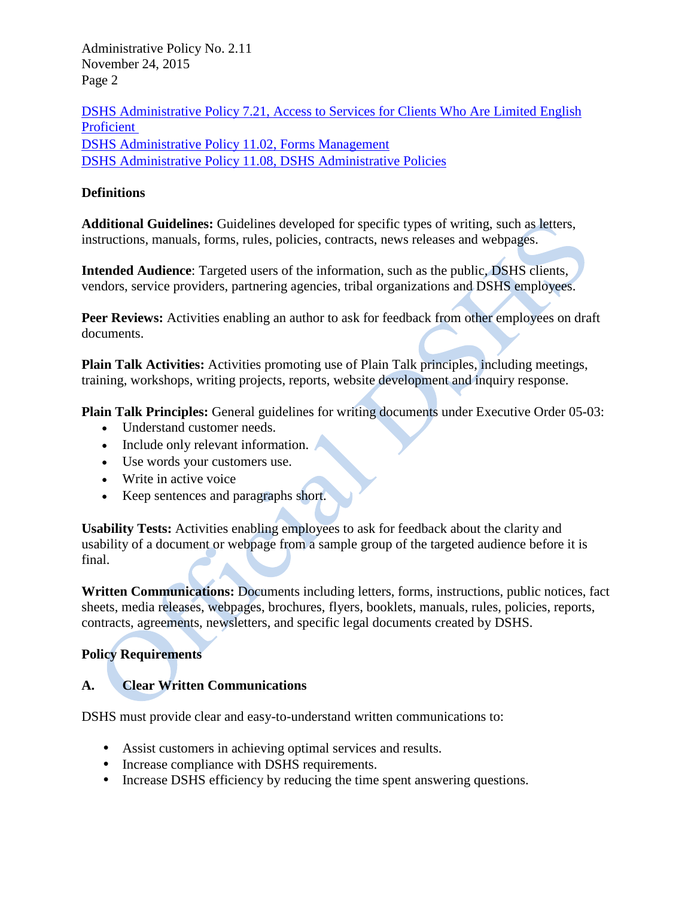Administrative Policy No. 2.11 November 24, 2015 Page 2

[DSHS Administrative Policy 7.21, Access to Services for Clients Who Are Limited English](http://one.dshs.wa.lcl/Policies/Administrative/DSHS-AP-07-21.pdf)  [Proficient](http://one.dshs.wa.lcl/Policies/Administrative/DSHS-AP-07-21.pdf)  [DSHS Administrative Policy 11.02, Forms Management](http://one.dshs.wa.lcl/Policies/Administrative/DSHS-AP-11-02.pdf) [DSHS Administrative Policy 11.08, DSHS Administrative Policies](http://one.dshs.wa.lcl/Policies/Administrative/DSHS-AP-11-08.pdf)

## **Definitions**

**Additional Guidelines:** Guidelines developed for specific types of writing, such as letters, instructions, manuals, forms, rules, policies, contracts, news releases and webpages.

**Intended Audience**: Targeted users of the information, such as the public, DSHS clients, vendors, service providers, partnering agencies, tribal organizations and DSHS employees.

Peer Reviews: Activities enabling an author to ask for feedback from other employees on draft documents.

**Plain Talk Activities:** Activities promoting use of Plain Talk principles, including meetings, training, workshops, writing projects, reports, website development and inquiry response.

**Plain Talk Principles:** General guidelines for writing documents under Executive Order 05-03:

- Understand customer needs.
- Include only relevant information.
- Use words your customers use.
- Write in active voice
- Keep sentences and paragraphs short.

**Usability Tests:** Activities enabling employees to ask for feedback about the clarity and usability of a document or webpage from a sample group of the targeted audience before it is final.

**Written Communications:** Documents including letters, forms, instructions, public notices, fact sheets, media releases, webpages, brochures, flyers, booklets, manuals, rules, policies, reports, contracts, agreements, newsletters, and specific legal documents created by DSHS.

## **Policy Requirements**

## **A. Clear Written Communications**

DSHS must provide clear and easy-to-understand written communications to:

- Assist customers in achieving optimal services and results.
- Increase compliance with DSHS requirements.
- Increase DSHS efficiency by reducing the time spent answering questions.